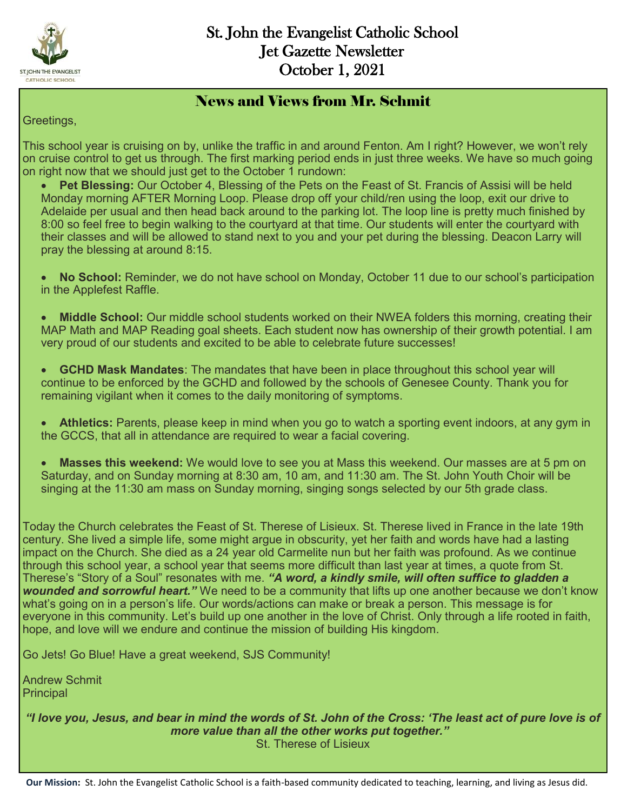

#### News and Views from Mr. Schmit

Greetings,

This school year is cruising on by, unlike the traffic in and around Fenton. Am I right? However, we won't rely on cruise control to get us through. The first marking period ends in just three weeks. We have so much going on right now that we should just get to the October 1 rundown:

 **Pet Blessing:** Our October 4, Blessing of the Pets on the Feast of St. Francis of Assisi will be held Monday morning AFTER Morning Loop. Please drop off your child/ren using the loop, exit our drive to Adelaide per usual and then head back around to the parking lot. The loop line is pretty much finished by 8:00 so feel free to begin walking to the courtyard at that time. Our students will enter the courtyard with their classes and will be allowed to stand next to you and your pet during the blessing. Deacon Larry will pray the blessing at around 8:15.

 **No School:** Reminder, we do not have school on Monday, October 11 due to our school's participation in the Applefest Raffle.

 **Middle School:** Our middle school students worked on their NWEA folders this morning, creating their MAP Math and MAP Reading goal sheets. Each student now has ownership of their growth potential. I am very proud of our students and excited to be able to celebrate future successes!

 **GCHD Mask Mandates**: The mandates that have been in place throughout this school year will continue to be enforced by the GCHD and followed by the schools of Genesee County. Thank you for remaining vigilant when it comes to the daily monitoring of symptoms.

 **Athletics:** Parents, please keep in mind when you go to watch a sporting event indoors, at any gym in the GCCS, that all in attendance are required to wear a facial covering.

 **Masses this weekend:** We would love to see you at Mass this weekend. Our masses are at 5 pm on Saturday, and on Sunday morning at 8:30 am, 10 am, and 11:30 am. The St. John Youth Choir will be singing at the 11:30 am mass on Sunday morning, singing songs selected by our 5th grade class.

Today the Church celebrates the Feast of St. Therese of Lisieux. St. Therese lived in France in the late 19th century. She lived a simple life, some might argue in obscurity, yet her faith and words have had a lasting impact on the Church. She died as a 24 year old Carmelite nun but her faith was profound. As we continue through this school year, a school year that seems more difficult than last year at times, a quote from St. Therese's "Story of a Soul" resonates with me. *"A word, a kindly smile, will often suffice to gladden a wounded and sorrowful heart."* We need to be a community that lifts up one another because we don't know what's going on in a person's life. Our words/actions can make or break a person. This message is for everyone in this community. Let's build up one another in the love of Christ. Only through a life rooted in faith, hope, and love will we endure and continue the mission of building His kingdom.

Go Jets! Go Blue! Have a great weekend, SJS Community!

Andrew Schmit **Principal** 

*"I love you, Jesus, and bear in mind the words of St. John of the Cross: 'The least act of pure love is of more value than all the other works put together."* St. Therese of Lisieux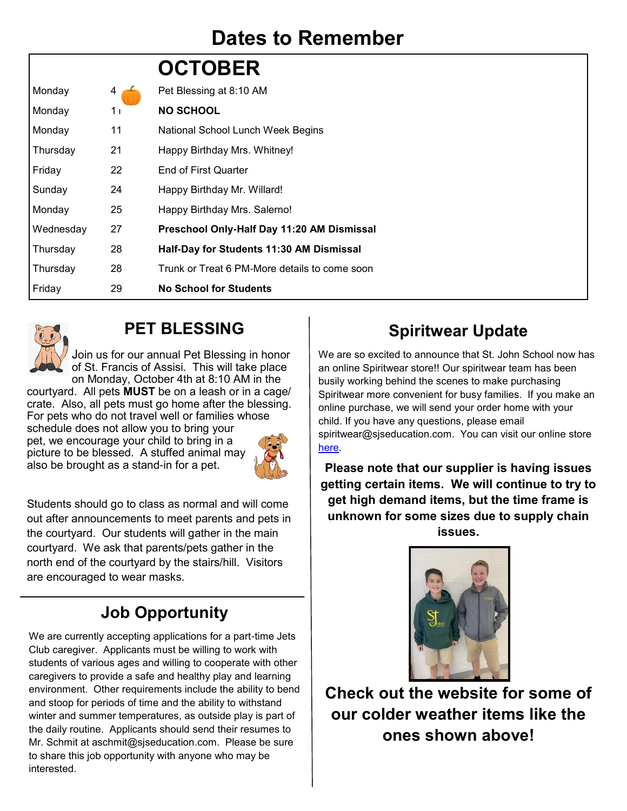## **Dates to Remember**

|           |    | <b>OCTOBER</b>                                |
|-----------|----|-----------------------------------------------|
| Monday    | 4  | Pet Blessing at 8:10 AM                       |
| Monday    | 11 | <b>NO SCHOOL</b>                              |
| Monday    | 11 | National School Lunch Week Begins             |
| Thursday  | 21 | Happy Birthday Mrs. Whitney!                  |
| Friday    | 22 | <b>End of First Quarter</b>                   |
| Sunday    | 24 | Happy Birthday Mr. Willard!                   |
| Monday    | 25 | Happy Birthday Mrs. Salerno!                  |
| Wednesday | 27 | Preschool Only-Half Day 11:20 AM Dismissal    |
| Thursday  | 28 | Half-Day for Students 11:30 AM Dismissal      |
| Thursday  | 28 | Trunk or Treat 6 PM-More details to come soon |
| Friday    | 29 | <b>No School for Students</b>                 |



### **PET BLESSING**

Join us for our annual Pet Blessing in honor of St. Francis of Assisi. This will take place on Monday, October 4th at 8:10 AM in the

courtyard. All pets **MUST** be on a leash or in a cage/ crate. Also, all pets must go home after the blessing. For pets who do not travel well or families whose schedule does not allow you to bring your pet, we encourage your child to bring in a picture to be blessed. A stuffed animal may also be brought as a stand-in for a pet.



Students should go to class as normal and will come out after announcements to meet parents and pets in the courtyard. Our students will gather in the main courtyard. We ask that parents/pets gather in the north end of the courtyard by the stairs/hill. Visitors are encouraged to wear masks.

## **Job Opportunity**

We are currently accepting applications for a part-time Jets Club caregiver. Applicants must be willing to work with students of various ages and willing to cooperate with other caregivers to provide a safe and healthy play and learning environment. Other requirements include the ability to bend and stoop for periods of time and the ability to withstand winter and summer temperatures, as outside play is part of the daily routine. Applicants should send their resumes to Mr. Schmit at aschmit@sjseducation.com. Please be sure to share this job opportunity with anyone who may be interested.

### **Spiritwear Update**

We are so excited to announce that St. John School now has an online Spiritwear store!! Our spiritwear team has been busily working behind the scenes to make purchasing Spiritwear more convenient for busy families. If you make an online purchase, we will send your order home with your child. If you have any questions, please email spiritwear@sjseducation.com. You can visit our online store [here.](https://st-john-the-evangelist-catholic-spirit-wear.square.site/) 

**Please note that our supplier is having issues getting certain items. We will continue to try to get high demand items, but the time frame is unknown for some sizes due to supply chain issues.**



**Check out the website for some of our colder weather items like the ones shown above!**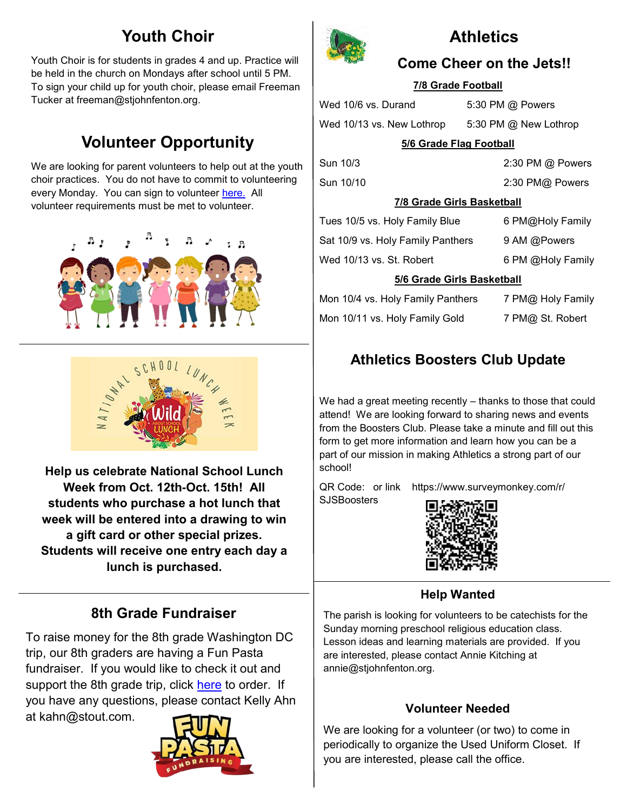### **Youth Choir**

Youth Choir is for students in grades 4 and up. Practice will be held in the church on Mondays after school until 5 PM. To sign your child up for youth choir, please email Freeman Tucker at freeman@stjohnfenton.org.

## **Volunteer Opportunity**

We are looking for parent volunteers to help out at the youth choir practices. You do not have to commit to volunteering every Monday. You can sign to volunteer [here.](https://www.signupgenius.com/go/10c0e4aa5ab23a3f58-choir) All volunteer requirements must be met to volunteer.





**Help us celebrate National School Lunch Week from Oct. 12th-Oct. 15th! All students who purchase a hot lunch that week will be entered into a drawing to win a gift card or other special prizes. Students will receive one entry each day a lunch is purchased.** 

### **8th Grade Fundraiser**

To raise money for the 8th grade Washington DC trip, our 8th graders are having a Fun Pasta fundraiser. If you would like to check it out and support the 8th grade trip, click [here](https://funpastafundraising.com/shop/st-john-fenton---8th-grade-) to order. If you have any questions, please contact Kelly Ahn at kahn@stout.com.





### **Athletics**

#### **Come Cheer on the Jets!!**

#### **7/8 Grade Football**

Wed 10/6 vs. Durand 5:30 PM @ Powers

Wed 10/13 vs. New Lothrop 5:30 PM @ New Lothrop

#### **5/6 Grade Flag Football**

Sun 10/10 2:30 PM@ Powers

Sun 10/3 2:30 PM @ Powers

#### **7/8 Grade Girls Basketball**

| 5/6 Grade Girls Basketball        |                   |  |  |  |  |
|-----------------------------------|-------------------|--|--|--|--|
| Wed 10/13 vs. St. Robert          | 6 PM @Holy Family |  |  |  |  |
| Sat 10/9 vs. Holy Family Panthers | 9 AM @Powers      |  |  |  |  |
| Tues 10/5 vs. Holy Family Blue    | 6 PM@Holy Family  |  |  |  |  |

| Mon 10/4 vs. Holy Family Panthers | 7 PM@ Holy Family |
|-----------------------------------|-------------------|
| Mon 10/11 vs. Holy Family Gold    | 7 PM@ St. Robert  |

### **Athletics Boosters Club Update**

We had a great meeting recently – thanks to those that could attend! We are looking forward to sharing news and events from the Boosters Club. Please take a minute and fill out this form to get more information and learn how you can be a part of our mission in making Athletics a strong part of our school!

QR Code: or link https://www.surveymonkey.com/r/ **SJSBoosters** 



#### **Help Wanted**

The parish is looking for volunteers to be catechists for the Sunday morning preschool religious education class. Lesson ideas and learning materials are provided. If you are interested, please contact Annie Kitching at annie@stjohnfenton.org.

#### **Volunteer Needed**

We are looking for a volunteer (or two) to come in periodically to organize the Used Uniform Closet. If you are interested, please call the office.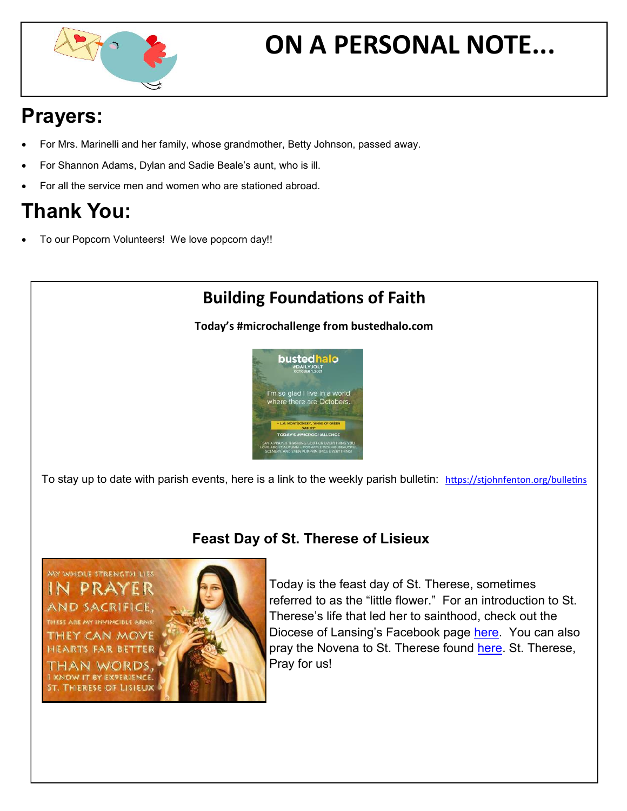

# **ON A PERSONAL NOTE...**

## **Prayers:**

- For Mrs. Marinelli and her family, whose grandmother, Betty Johnson, passed away.
- For Shannon Adams, Dylan and Sadie Beale's aunt, who is ill.
- For all the service men and women who are stationed abroad.

## **Thank You:**

To our Popcorn Volunteers! We love popcorn day!!

### **Building Foundations of Faith**

**Today's #microchallenge from bustedhalo.com**



To stay up to date with parish events, here is a link to the weekly parish bulletin: <https://stjohnfenton.org/bulletins>

### **Feast Day of St. Therese of Lisieux**

WHOLE STRENGTH LIES than words KNOW IT BY EXPERIENCE. ST. THERESE OF LISIEUX



Today is the feast day of St. Therese, sometimes referred to as the "little flower." For an introduction to St. Therese's life that led her to sainthood, check out the Diocese of Lansing's Facebook page [here.](https://www.facebook.com/dioceseoflansing) You can also pray the Novena to St. Therese found [here.](https://angeluspress.org/pages/st-therese-of-lisieux-9-day-novena) St. Therese, Pray for us!